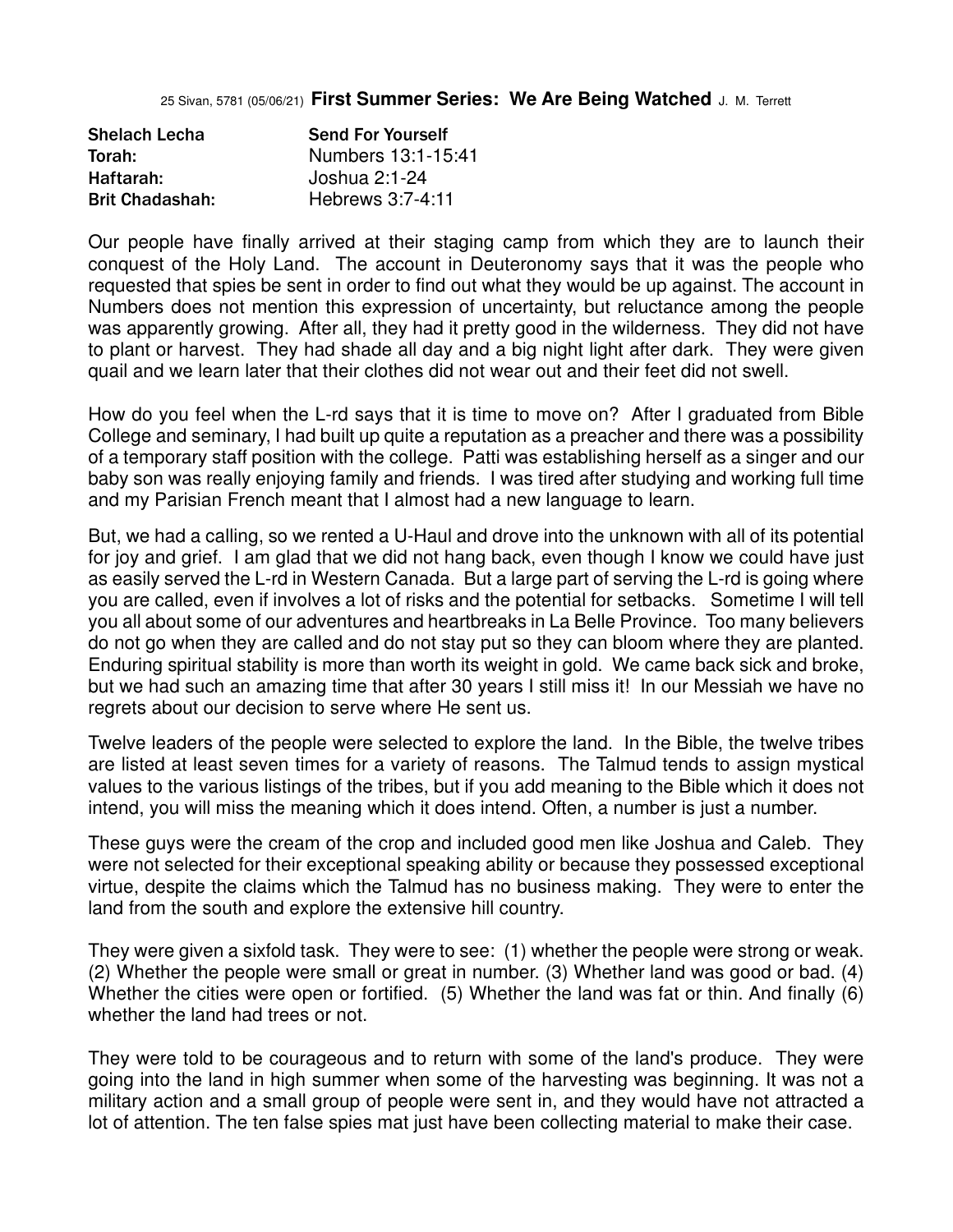25 Sivan, 5781 (05/06/21) **First Summer Series: We Are Being Watched** J. M. Terrett

| <b>Shelach Lecha</b>   | <b>Send For Yourself</b> |
|------------------------|--------------------------|
| Torah:                 | Numbers 13:1-15:41       |
| Haftarah:              | Joshua 2:1-24            |
| <b>Brit Chadashah:</b> | Hebrews 3:7-4:11         |

Our people have finally arrived at their staging camp from which they are to launch their conquest of the Holy Land. The account in Deuteronomy says that it was the people who requested that spies be sent in order to find out what they would be up against. The account in Numbers does not mention this expression of uncertainty, but reluctance among the people was apparently growing. After all, they had it pretty good in the wilderness. They did not have to plant or harvest. They had shade all day and a big night light after dark. They were given quail and we learn later that their clothes did not wear out and their feet did not swell.

How do you feel when the L-rd says that it is time to move on? After I graduated from Bible College and seminary, I had built up quite a reputation as a preacher and there was a possibility of a temporary staff position with the college. Patti was establishing herself as a singer and our baby son was really enjoying family and friends. I was tired after studying and working full time and my Parisian French meant that I almost had a new language to learn.

But, we had a calling, so we rented a U-Haul and drove into the unknown with all of its potential for joy and grief. I am glad that we did not hang back, even though I know we could have just as easily served the L-rd in Western Canada. But a large part of serving the L-rd is going where you are called, even if involves a lot of risks and the potential for setbacks. Sometime I will tell you all about some of our adventures and heartbreaks in La Belle Province. Too many believers do not go when they are called and do not stay put so they can bloom where they are planted. Enduring spiritual stability is more than worth its weight in gold. We came back sick and broke, but we had such an amazing time that after 30 years I still miss it! In our Messiah we have no regrets about our decision to serve where He sent us.

Twelve leaders of the people were selected to explore the land. In the Bible, the twelve tribes are listed at least seven times for a variety of reasons. The Talmud tends to assign mystical values to the various listings of the tribes, but if you add meaning to the Bible which it does not intend, you will miss the meaning which it does intend. Often, a number is just a number.

These guys were the cream of the crop and included good men like Joshua and Caleb. They were not selected for their exceptional speaking ability or because they possessed exceptional virtue, despite the claims which the Talmud has no business making. They were to enter the land from the south and explore the extensive hill country.

They were given a sixfold task. They were to see: (1) whether the people were strong or weak. (2) Whether the people were small or great in number. (3) Whether land was good or bad. (4) Whether the cities were open or fortified. (5) Whether the land was fat or thin. And finally (6) whether the land had trees or not.

They were told to be courageous and to return with some of the land's produce. They were going into the land in high summer when some of the harvesting was beginning. It was not a military action and a small group of people were sent in, and they would have not attracted a lot of attention. The ten false spies mat just have been collecting material to make their case.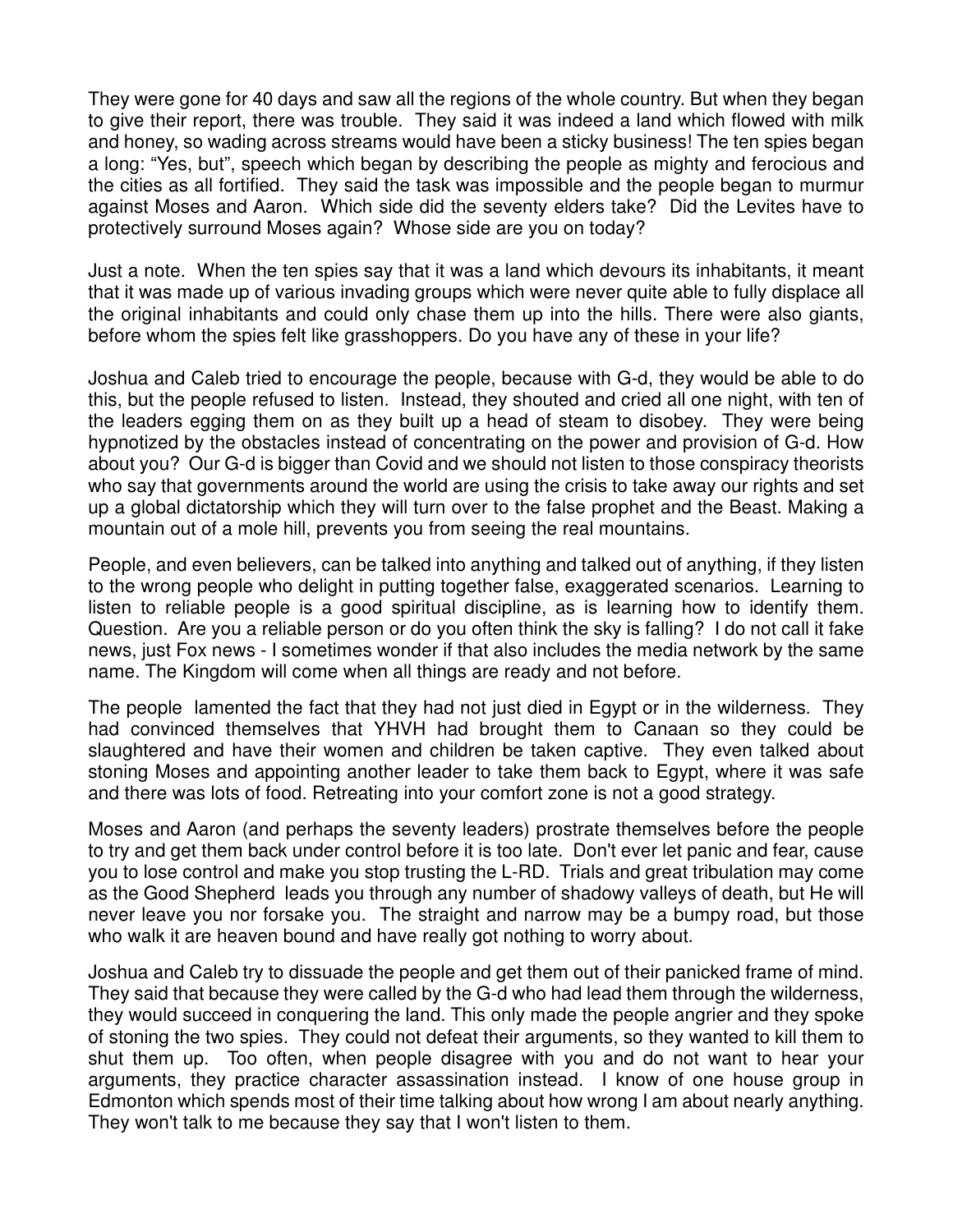They were gone for 40 days and saw all the regions of the whole country. But when they began to give their report, there was trouble. They said it was indeed a land which flowed with milk and honey, so wading across streams would have been a sticky business! The ten spies began a long: "Yes, but", speech which began by describing the people as mighty and ferocious and the cities as all fortified. They said the task was impossible and the people began to murmur against Moses and Aaron. Which side did the seventy elders take? Did the Levites have to protectively surround Moses again? Whose side are you on today?

Just a note. When the ten spies say that it was a land which devours its inhabitants, it meant that it was made up of various invading groups which were never quite able to fully displace all the original inhabitants and could only chase them up into the hills. There were also giants, before whom the spies felt like grasshoppers. Do you have any of these in your life?

Joshua and Caleb tried to encourage the people, because with G-d, they would be able to do this, but the people refused to listen. Instead, they shouted and cried all one night, with ten of the leaders egging them on as they built up a head of steam to disobey. They were being hypnotized by the obstacles instead of concentrating on the power and provision of G-d. How about you? Our G-d is bigger than Covid and we should not listen to those conspiracy theorists who say that governments around the world are using the crisis to take away our rights and set up a global dictatorship which they will turn over to the false prophet and the Beast. Making a mountain out of a mole hill, prevents you from seeing the real mountains.

People, and even believers, can be talked into anything and talked out of anything, if they listen to the wrong people who delight in putting together false, exaggerated scenarios. Learning to listen to reliable people is a good spiritual discipline, as is learning how to identify them. Question. Are you a reliable person or do you often think the sky is falling? I do not call it fake news, just Fox news - I sometimes wonder if that also includes the media network by the same name. The Kingdom will come when all things are ready and not before.

The people lamented the fact that they had not just died in Egypt or in the wilderness. They had convinced themselves that YHVH had brought them to Canaan so they could be slaughtered and have their women and children be taken captive. They even talked about stoning Moses and appointing another leader to take them back to Egypt, where it was safe and there was lots of food. Retreating into your comfort zone is not a good strategy.

Moses and Aaron (and perhaps the seventy leaders) prostrate themselves before the people to try and get them back under control before it is too late. Don't ever let panic and fear, cause you to lose control and make you stop trusting the L-RD. Trials and great tribulation may come as the Good Shepherd leads you through any number of shadowy valleys of death, but He will never leave you nor forsake you. The straight and narrow may be a bumpy road, but those who walk it are heaven bound and have really got nothing to worry about.

Joshua and Caleb try to dissuade the people and get them out of their panicked frame of mind. They said that because they were called by the G-d who had lead them through the wilderness, they would succeed in conquering the land. This only made the people angrier and they spoke of stoning the two spies. They could not defeat their arguments, so they wanted to kill them to shut them up. Too often, when people disagree with you and do not want to hear your arguments, they practice character assassination instead. I know of one house group in Edmonton which spends most of their time talking about how wrong I am about nearly anything. They won't talk to me because they say that I won't listen to them.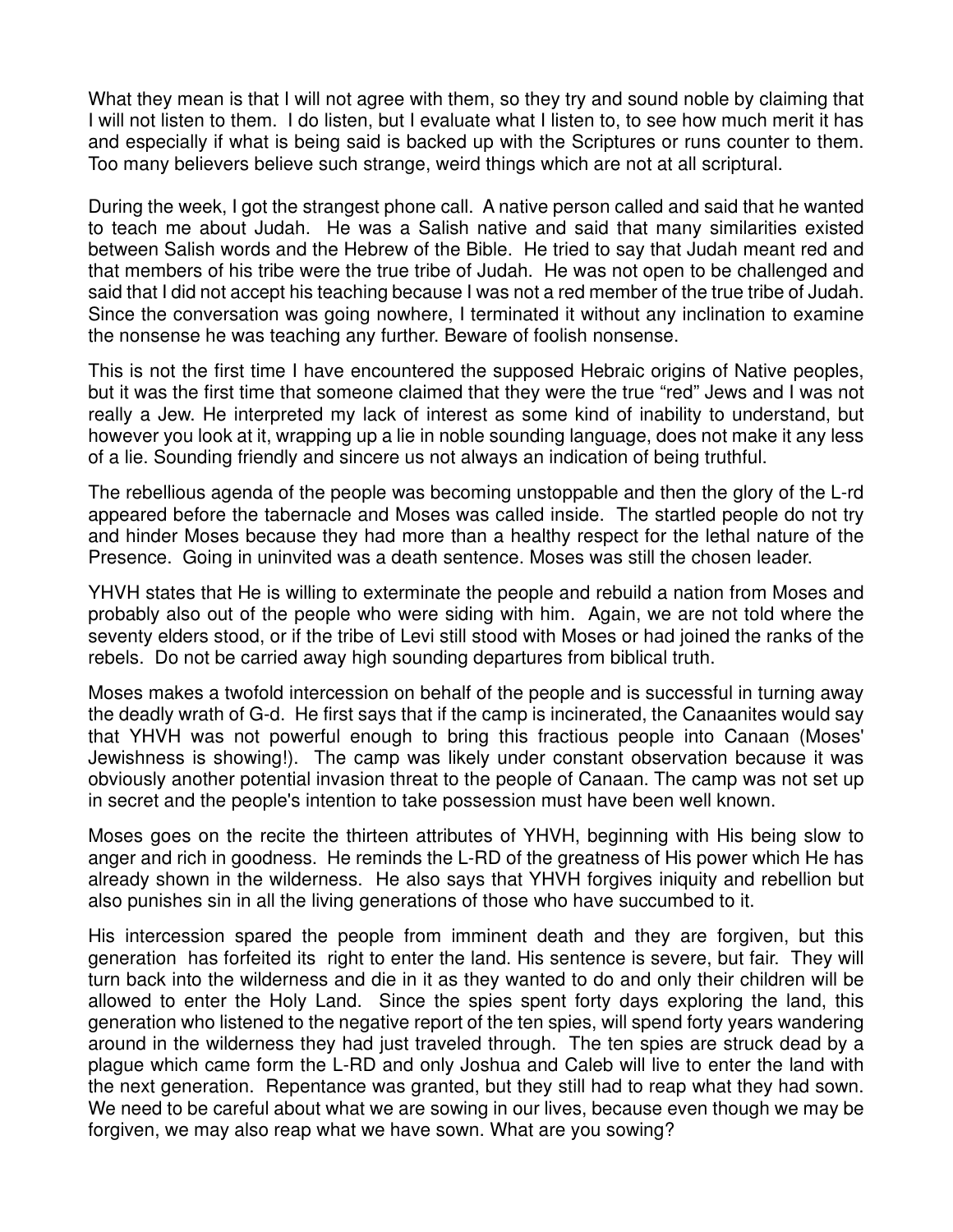What they mean is that I will not agree with them, so they try and sound noble by claiming that I will not listen to them. I do listen, but I evaluate what I listen to, to see how much merit it has and especially if what is being said is backed up with the Scriptures or runs counter to them. Too many believers believe such strange, weird things which are not at all scriptural.

During the week, I got the strangest phone call. A native person called and said that he wanted to teach me about Judah. He was a Salish native and said that many similarities existed between Salish words and the Hebrew of the Bible. He tried to say that Judah meant red and that members of his tribe were the true tribe of Judah. He was not open to be challenged and said that I did not accept his teaching because I was not a red member of the true tribe of Judah. Since the conversation was going nowhere, I terminated it without any inclination to examine the nonsense he was teaching any further. Beware of foolish nonsense.

This is not the first time I have encountered the supposed Hebraic origins of Native peoples, but it was the first time that someone claimed that they were the true "red" Jews and I was not really a Jew. He interpreted my lack of interest as some kind of inability to understand, but however you look at it, wrapping up a lie in noble sounding language, does not make it any less of a lie. Sounding friendly and sincere us not always an indication of being truthful.

The rebellious agenda of the people was becoming unstoppable and then the glory of the L-rd appeared before the tabernacle and Moses was called inside. The startled people do not try and hinder Moses because they had more than a healthy respect for the lethal nature of the Presence. Going in uninvited was a death sentence. Moses was still the chosen leader.

YHVH states that He is willing to exterminate the people and rebuild a nation from Moses and probably also out of the people who were siding with him. Again, we are not told where the seventy elders stood, or if the tribe of Levi still stood with Moses or had joined the ranks of the rebels. Do not be carried away high sounding departures from biblical truth.

Moses makes a twofold intercession on behalf of the people and is successful in turning away the deadly wrath of G-d. He first says that if the camp is incinerated, the Canaanites would say that YHVH was not powerful enough to bring this fractious people into Canaan (Moses' Jewishness is showing!). The camp was likely under constant observation because it was obviously another potential invasion threat to the people of Canaan. The camp was not set up in secret and the people's intention to take possession must have been well known.

Moses goes on the recite the thirteen attributes of YHVH, beginning with His being slow to anger and rich in goodness. He reminds the L-RD of the greatness of His power which He has already shown in the wilderness. He also says that YHVH forgives iniquity and rebellion but also punishes sin in all the living generations of those who have succumbed to it.

His intercession spared the people from imminent death and they are forgiven, but this generation has forfeited its right to enter the land. His sentence is severe, but fair. They will turn back into the wilderness and die in it as they wanted to do and only their children will be allowed to enter the Holy Land. Since the spies spent forty days exploring the land, this generation who listened to the negative report of the ten spies, will spend forty years wandering around in the wilderness they had just traveled through. The ten spies are struck dead by a plague which came form the L-RD and only Joshua and Caleb will live to enter the land with the next generation. Repentance was granted, but they still had to reap what they had sown. We need to be careful about what we are sowing in our lives, because even though we may be forgiven, we may also reap what we have sown. What are you sowing?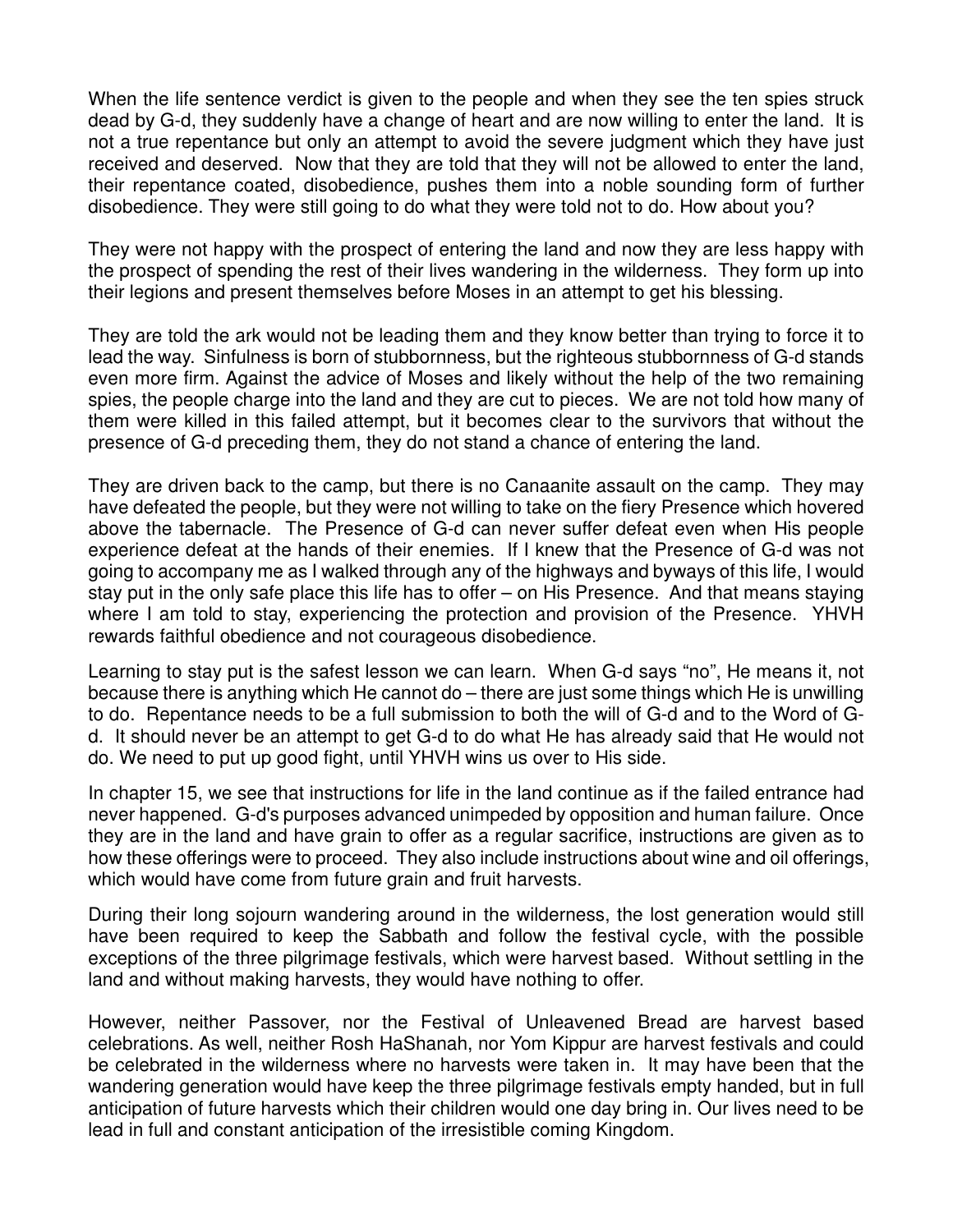When the life sentence verdict is given to the people and when they see the ten spies struck dead by G-d, they suddenly have a change of heart and are now willing to enter the land. It is not a true repentance but only an attempt to avoid the severe judgment which they have just received and deserved. Now that they are told that they will not be allowed to enter the land, their repentance coated, disobedience, pushes them into a noble sounding form of further disobedience. They were still going to do what they were told not to do. How about you?

They were not happy with the prospect of entering the land and now they are less happy with the prospect of spending the rest of their lives wandering in the wilderness. They form up into their legions and present themselves before Moses in an attempt to get his blessing.

They are told the ark would not be leading them and they know better than trying to force it to lead the way. Sinfulness is born of stubbornness, but the righteous stubbornness of G-d stands even more firm. Against the advice of Moses and likely without the help of the two remaining spies, the people charge into the land and they are cut to pieces. We are not told how many of them were killed in this failed attempt, but it becomes clear to the survivors that without the presence of G-d preceding them, they do not stand a chance of entering the land.

They are driven back to the camp, but there is no Canaanite assault on the camp. They may have defeated the people, but they were not willing to take on the fiery Presence which hovered above the tabernacle. The Presence of G-d can never suffer defeat even when His people experience defeat at the hands of their enemies. If I knew that the Presence of G-d was not going to accompany me as I walked through any of the highways and byways of this life, I would stay put in the only safe place this life has to offer – on His Presence. And that means staying where I am told to stay, experiencing the protection and provision of the Presence. YHVH rewards faithful obedience and not courageous disobedience.

Learning to stay put is the safest lesson we can learn. When G-d says "no", He means it, not because there is anything which He cannot do – there are just some things which He is unwilling to do. Repentance needs to be a full submission to both the will of G-d and to the Word of Gd. It should never be an attempt to get G-d to do what He has already said that He would not do. We need to put up good fight, until YHVH wins us over to His side.

In chapter 15, we see that instructions for life in the land continue as if the failed entrance had never happened. G-d's purposes advanced unimpeded by opposition and human failure. Once they are in the land and have grain to offer as a regular sacrifice, instructions are given as to how these offerings were to proceed. They also include instructions about wine and oil offerings, which would have come from future grain and fruit harvests.

During their long sojourn wandering around in the wilderness, the lost generation would still have been required to keep the Sabbath and follow the festival cycle, with the possible exceptions of the three pilgrimage festivals, which were harvest based. Without settling in the land and without making harvests, they would have nothing to offer.

However, neither Passover, nor the Festival of Unleavened Bread are harvest based celebrations. As well, neither Rosh HaShanah, nor Yom Kippur are harvest festivals and could be celebrated in the wilderness where no harvests were taken in. It may have been that the wandering generation would have keep the three pilgrimage festivals empty handed, but in full anticipation of future harvests which their children would one day bring in. Our lives need to be lead in full and constant anticipation of the irresistible coming Kingdom.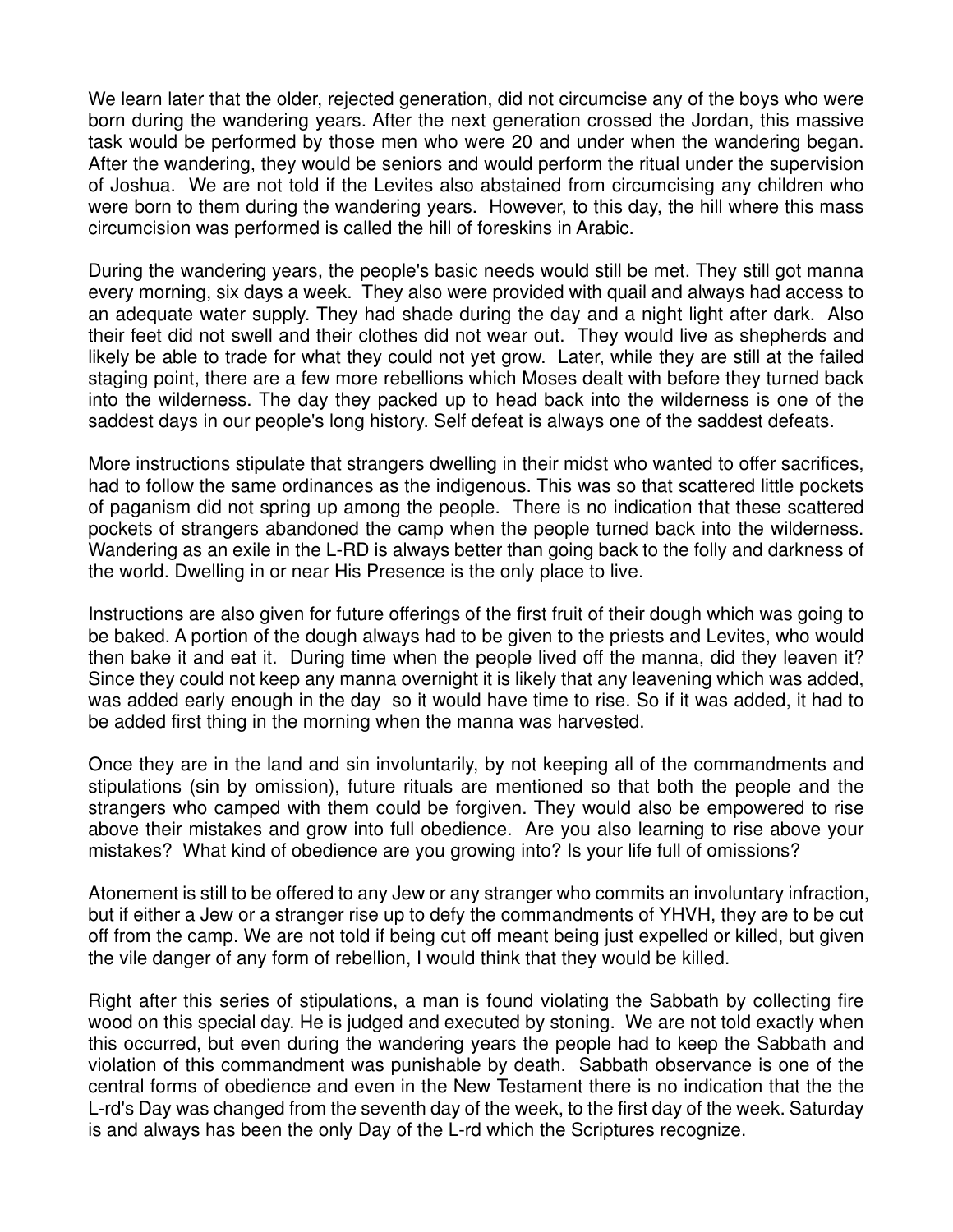We learn later that the older, rejected generation, did not circumcise any of the boys who were born during the wandering years. After the next generation crossed the Jordan, this massive task would be performed by those men who were 20 and under when the wandering began. After the wandering, they would be seniors and would perform the ritual under the supervision of Joshua. We are not told if the Levites also abstained from circumcising any children who were born to them during the wandering years. However, to this day, the hill where this mass circumcision was performed is called the hill of foreskins in Arabic.

During the wandering years, the people's basic needs would still be met. They still got manna every morning, six days a week. They also were provided with quail and always had access to an adequate water supply. They had shade during the day and a night light after dark. Also their feet did not swell and their clothes did not wear out. They would live as shepherds and likely be able to trade for what they could not yet grow. Later, while they are still at the failed staging point, there are a few more rebellions which Moses dealt with before they turned back into the wilderness. The day they packed up to head back into the wilderness is one of the saddest days in our people's long history. Self defeat is always one of the saddest defeats.

More instructions stipulate that strangers dwelling in their midst who wanted to offer sacrifices, had to follow the same ordinances as the indigenous. This was so that scattered little pockets of paganism did not spring up among the people. There is no indication that these scattered pockets of strangers abandoned the camp when the people turned back into the wilderness. Wandering as an exile in the L-RD is always better than going back to the folly and darkness of the world. Dwelling in or near His Presence is the only place to live.

Instructions are also given for future offerings of the first fruit of their dough which was going to be baked. A portion of the dough always had to be given to the priests and Levites, who would then bake it and eat it. During time when the people lived off the manna, did they leaven it? Since they could not keep any manna overnight it is likely that any leavening which was added, was added early enough in the day so it would have time to rise. So if it was added, it had to be added first thing in the morning when the manna was harvested.

Once they are in the land and sin involuntarily, by not keeping all of the commandments and stipulations (sin by omission), future rituals are mentioned so that both the people and the strangers who camped with them could be forgiven. They would also be empowered to rise above their mistakes and grow into full obedience. Are you also learning to rise above your mistakes? What kind of obedience are you growing into? Is your life full of omissions?

Atonement is still to be offered to any Jew or any stranger who commits an involuntary infraction, but if either a Jew or a stranger rise up to defy the commandments of YHVH, they are to be cut off from the camp. We are not told if being cut off meant being just expelled or killed, but given the vile danger of any form of rebellion, I would think that they would be killed.

Right after this series of stipulations, a man is found violating the Sabbath by collecting fire wood on this special day. He is judged and executed by stoning. We are not told exactly when this occurred, but even during the wandering years the people had to keep the Sabbath and violation of this commandment was punishable by death. Sabbath observance is one of the central forms of obedience and even in the New Testament there is no indication that the the L-rd's Day was changed from the seventh day of the week, to the first day of the week. Saturday is and always has been the only Day of the L-rd which the Scriptures recognize.